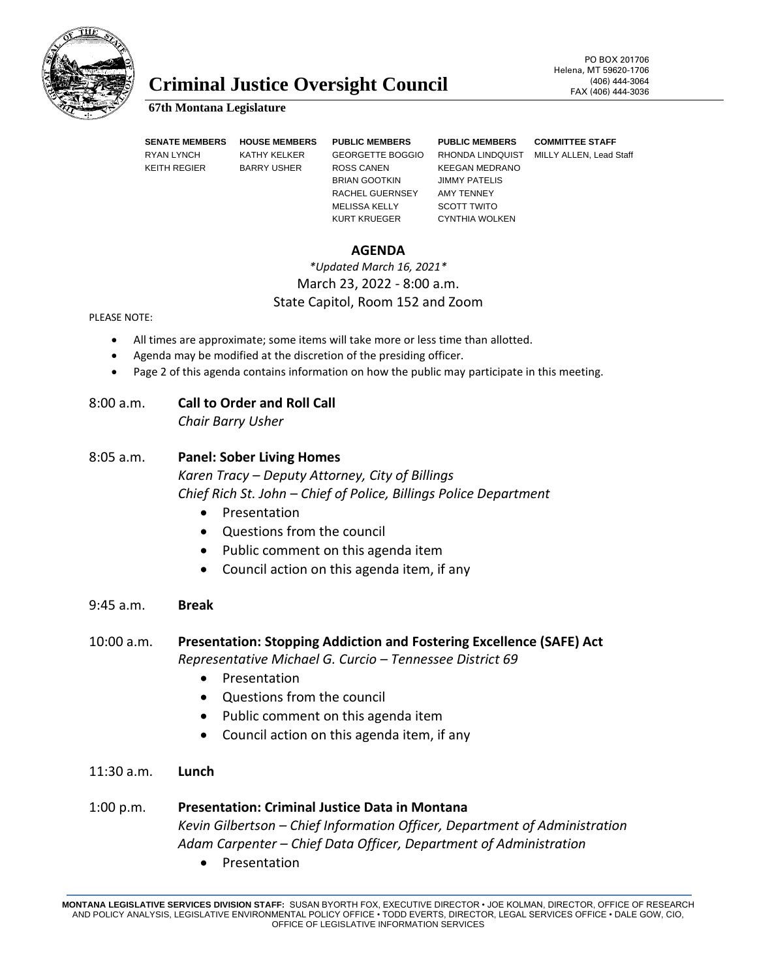

# **Criminal Justice Oversight Council** FAX (406) 444-3064

#### **67th Montana Legislature**

KEITH REGIER BARRY USHER ROSS CANEN KEEGAN MEDRANO

**SENATE MEMBERS HOUSE MEMBERS PUBLIC MEMBERS PUBLIC MEMBERS COMMITTEE STAFF** BRIAN GOOTKIN JIMMY PATELIS RACHEL GUERNSEY AMY TENNEY MELISSA KELLY SCOTT TWITO

KURT KRUEGER CYNTHIA WOLKEN

RYAN LYNCH KATHY KELKER GEORGETTE BOGGIO RHONDA LINDQUIST MILLY ALLEN, Lead Staff

#### **AGENDA**

### *\*Updated March 16, 2021\** March 23, 2022 - 8:00 a.m. State Capitol, Room 152 and Zoom

PLEASE NOTE:

- All times are approximate; some items will take more or less time than allotted.
- Agenda may be modified at the discretion of the presiding officer.
- Page 2 of this agenda contains information on how the public may participate in this meeting.

### 8:00 a.m. **Call to Order and Roll Call**

*Chair Barry Usher*

### 8:05 a.m. **Panel: Sober Living Homes**

*Karen Tracy – Deputy Attorney, City of Billings Chief Rich St. John – Chief of Police, Billings Police Department*

- Presentation
- Questions from the council
- Public comment on this agenda item
- Council action on this agenda item, if any

#### 9:45 a.m. **Break**

10:00 a.m. **Presentation: Stopping Addiction and Fostering Excellence (SAFE) Act** *Representative Michael G. Curcio – Tennessee District 69*

- Presentation
- Questions from the council
- Public comment on this agenda item
- Council action on this agenda item, if any
- 11:30 a.m. **Lunch**

## 1:00 p.m. **Presentation: Criminal Justice Data in Montana** *Kevin Gilbertson – Chief Information Officer, Department of Administration Adam Carpenter – Chief Data Officer, Department of Administration*

**Presentation** 

**MONTANA LEGISLATIVE SERVICES DIVISION STAFF:** SUSAN BYORTH FOX, EXECUTIVE DIRECTOR • JOE KOLMAN, DIRECTOR, OFFICE OF RESEARCH AND POLICY ANALYSIS, LEGISLATIVE ENVIRONMENTAL POLICY OFFICE • TODD EVERTS, DIRECTOR, LEGAL SERVICES OFFICE • DALE GOW, CIO, OFFICE OF LEGISLATIVE INFORMATION SERVICES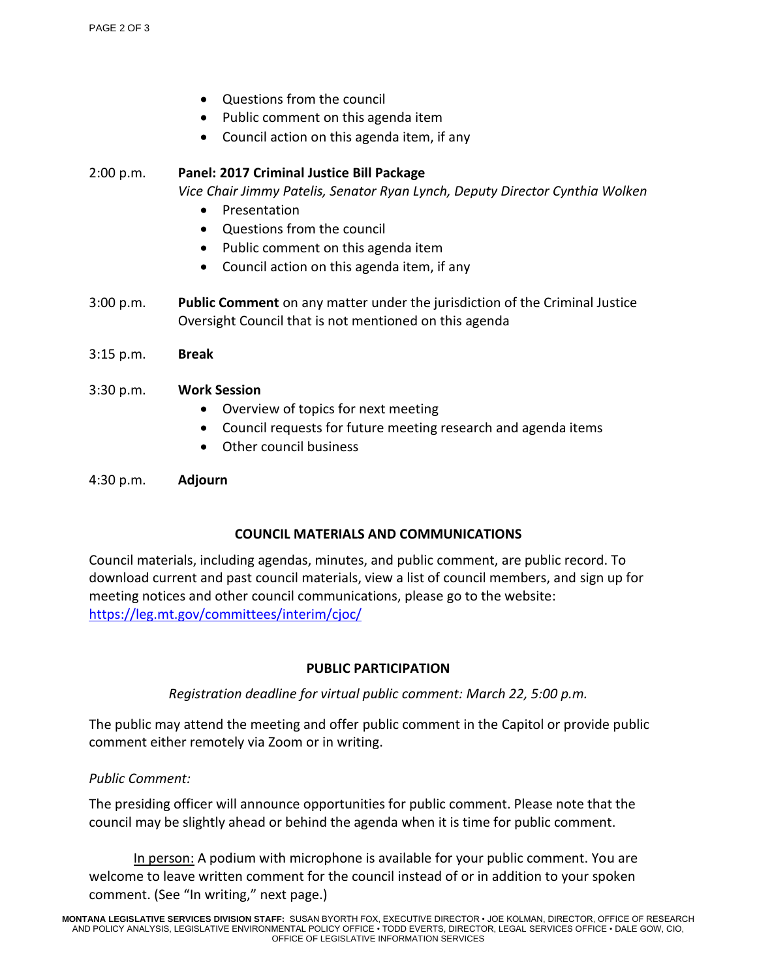- Questions from the council
- Public comment on this agenda item
- Council action on this agenda item, if any

2:00 p.m. **Panel: 2017 Criminal Justice Bill Package** *Vice Chair Jimmy Patelis, Senator Ryan Lynch, Deputy Director Cynthia Wolken*

- **Presentation**
- Questions from the council
- Public comment on this agenda item
- Council action on this agenda item, if any
- 3:00 p.m. **Public Comment** on any matter under the jurisdiction of the Criminal Justice Oversight Council that is not mentioned on this agenda
- 3:15 p.m. **Break**

### 3:30 p.m. **Work Session**

- Overview of topics for next meeting
- Council requests for future meeting research and agenda items
- Other council business

4:30 p.m. **Adjourn** 

### **COUNCIL MATERIALS AND COMMUNICATIONS**

Council materials, including agendas, minutes, and public comment, are public record. To download current and past council materials, view a list of council members, and sign up for meeting notices and other council communications, please go to the website: <https://leg.mt.gov/committees/interim/cjoc/>

### **PUBLIC PARTICIPATION**

*Registration deadline for virtual public comment: March 22, 5:00 p.m.*

The public may attend the meeting and offer public comment in the Capitol or provide public comment either remotely via Zoom or in writing.

#### *Public Comment:*

The presiding officer will announce opportunities for public comment. Please note that the council may be slightly ahead or behind the agenda when it is time for public comment.

In person: A podium with microphone is available for your public comment. You are welcome to leave written comment for the council instead of or in addition to your spoken comment. (See "In writing," next page.)